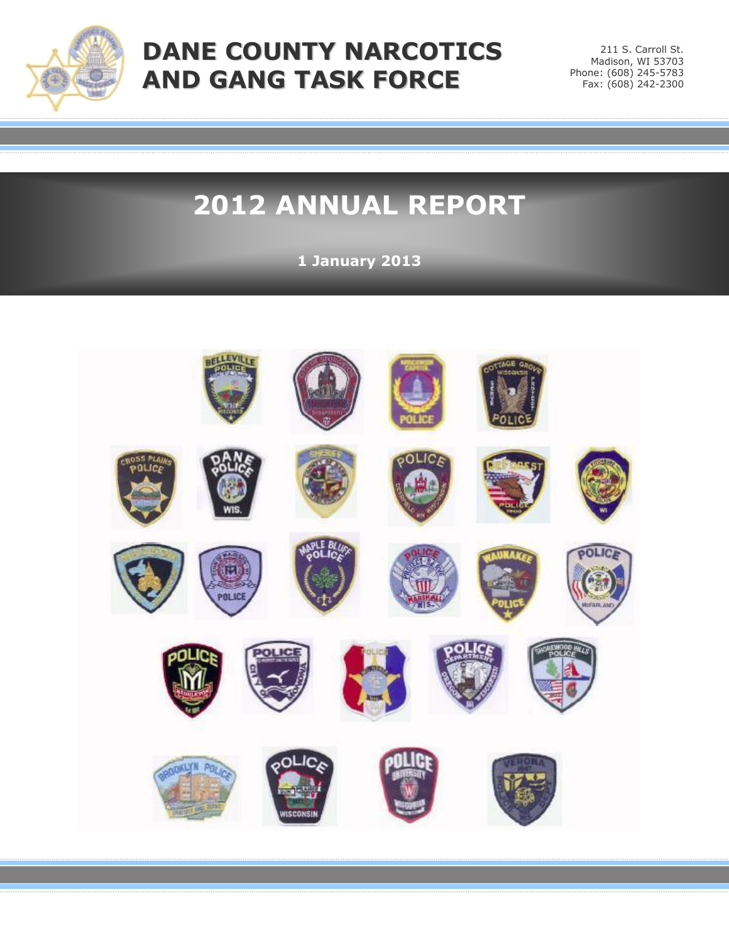

# **DANE COUNTY NARCOTICS AND GANG TASK FORCE**

211 S. Carroll St. Madison, WI 53703 Phone: (608) 245-5783 Fax: (608) 242-2300

# **2012 ANNUAL REPORT**

**1 January 2013**

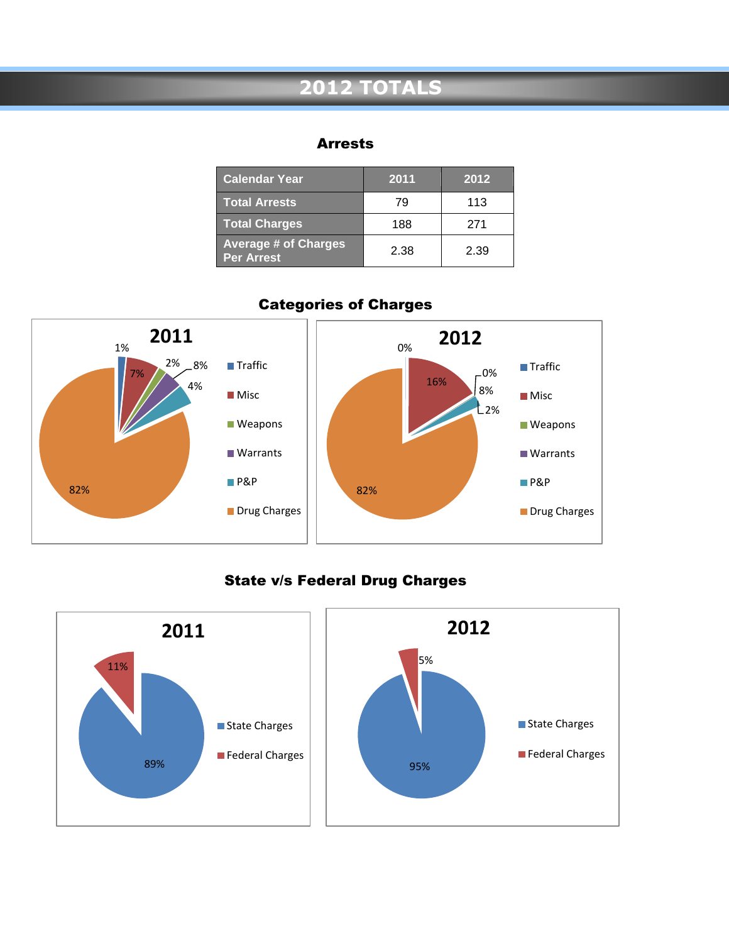## **2012 TOTALS**

### Arrests

| <b>Calendar Year</b>                             | 2011 | 2012 |
|--------------------------------------------------|------|------|
| <b>Total Arrests</b>                             | 79   | 113  |
| <b>Total Charges</b>                             | 188  | 271  |
| <b>Average # of Charges</b><br><b>Per Arrest</b> | 2.38 | 2.39 |



### Categories of Charges

### State v/s Federal Drug Charges

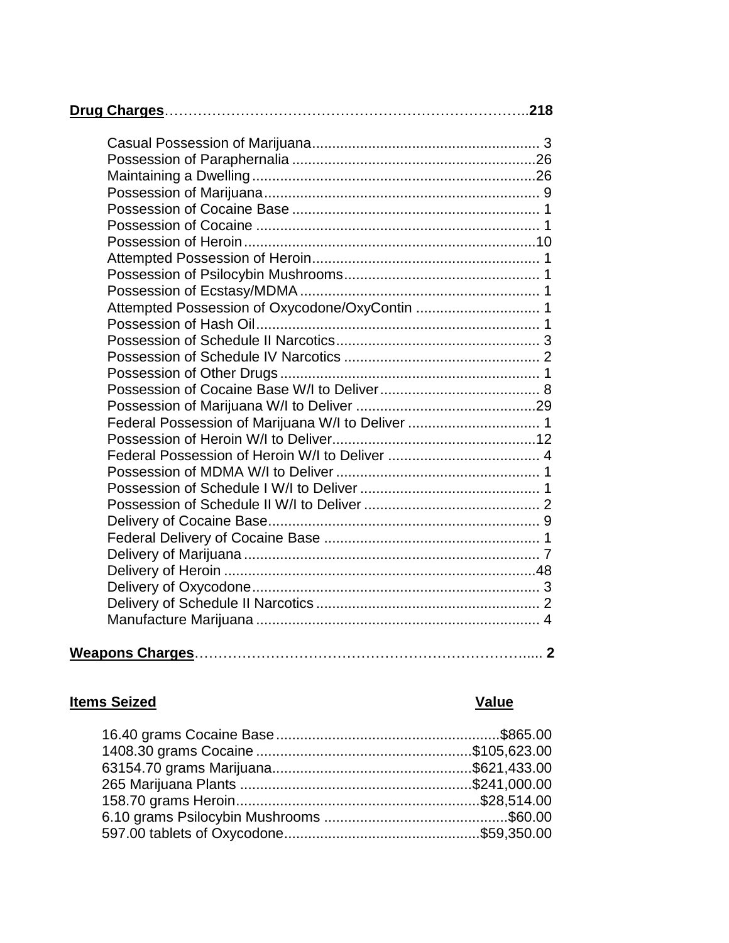| Attempted Possession of Oxycodone/OxyContin  1    |  |
|---------------------------------------------------|--|
|                                                   |  |
|                                                   |  |
|                                                   |  |
|                                                   |  |
|                                                   |  |
|                                                   |  |
| Federal Possession of Marijuana W/I to Deliver  1 |  |
|                                                   |  |
|                                                   |  |
|                                                   |  |
|                                                   |  |
|                                                   |  |
|                                                   |  |
|                                                   |  |
|                                                   |  |
|                                                   |  |
|                                                   |  |
|                                                   |  |
|                                                   |  |
|                                                   |  |

### **Items Seized Value**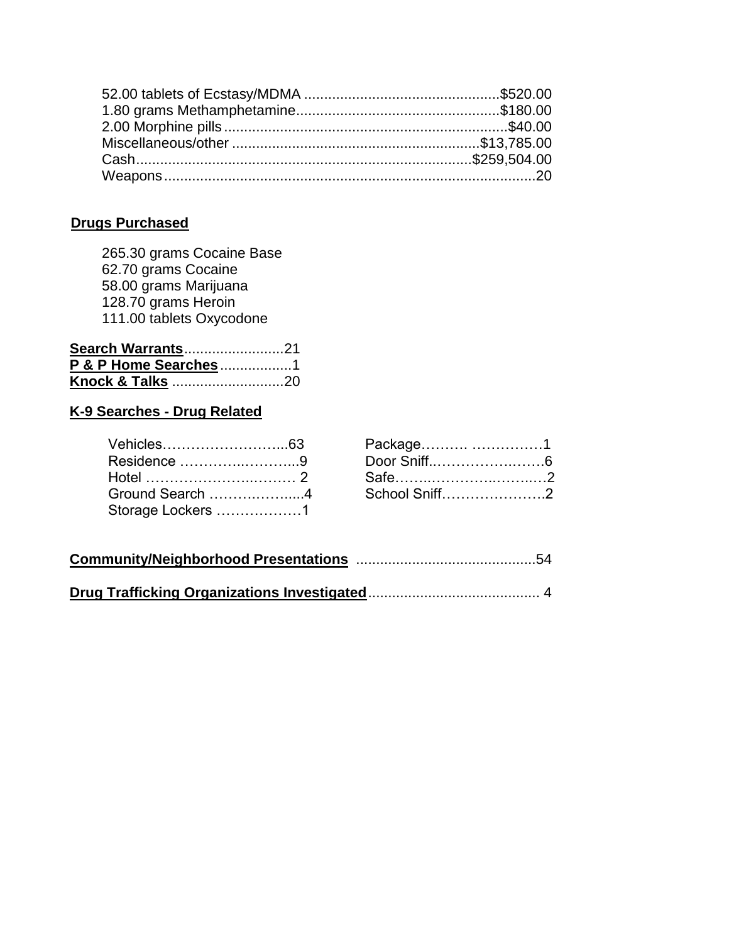### **Drugs Purchased**

265.30 grams Cocaine Base 62.70 grams Cocaine 58.00 grams Marijuana 128.70 grams Heroin 111.00 tablets Oxycodone

| Search Warrants21    |  |
|----------------------|--|
| P & P Home Searches1 |  |
|                      |  |

### **K-9 Searches - Drug Related**

| Vehicles…………………………63 | Package 1                                |  |
|----------------------|------------------------------------------|--|
| Residence 9          |                                          |  |
|                      | Hotel ……………………………… 2    Safe……………………………2 |  |
|                      | Ground Search 4 School Sniff2            |  |
| Storage Lockers 1    |                                          |  |

| Package 1     |  |
|---------------|--|
| Door Sniff6   |  |
|               |  |
| School Sniff2 |  |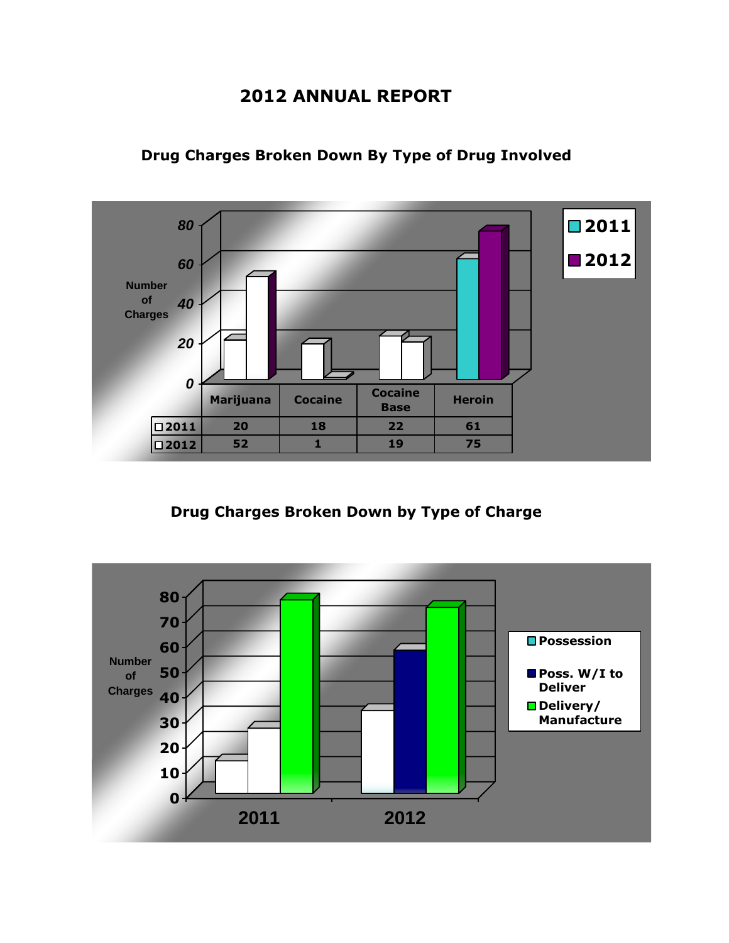### **2012 ANNUAL REPORT**



### **Drug Charges Broken Down By Type of Drug Involved**

**Drug Charges Broken Down by Type of Charge**

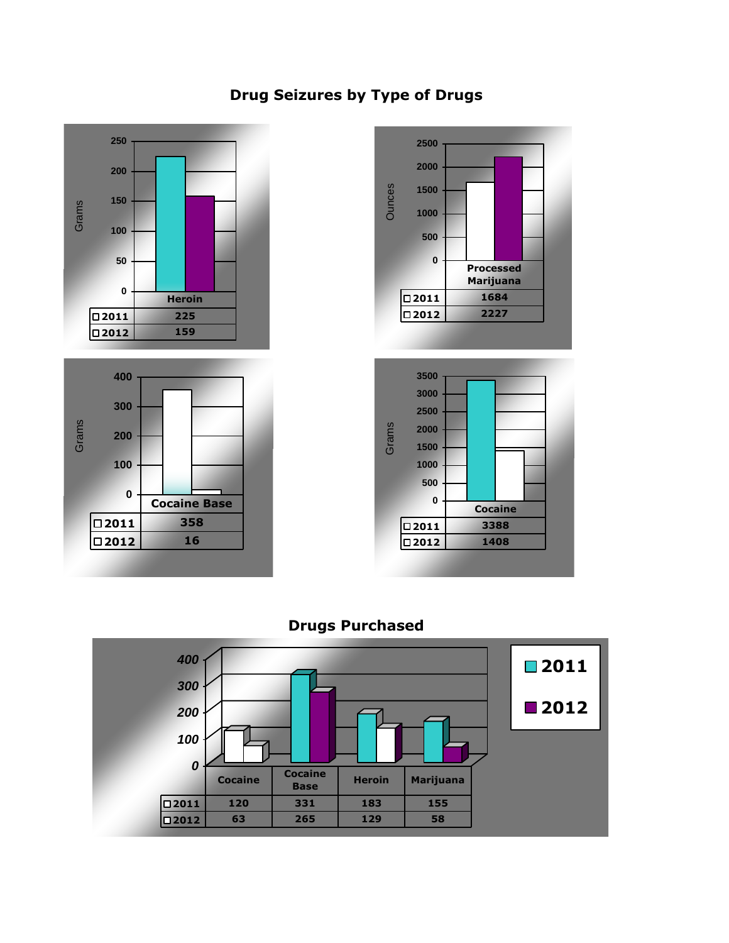### **Drug Seizures by Type of Drugs**